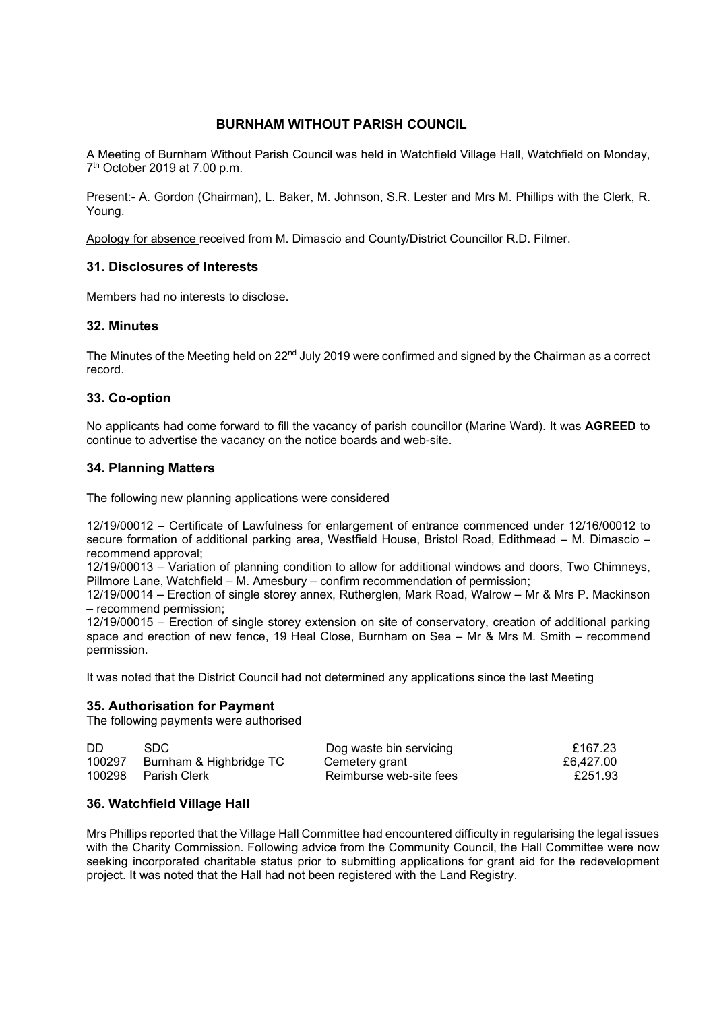# **BURNHAM WITHOUT PARISH COUNCIL**

A Meeting of Burnham Without Parish Council was held in Watchfield Village Hall, Watchfield on Monday, 7th October 2019 at 7.00 p.m.

Present:- A. Gordon (Chairman), L. Baker, M. Johnson, S.R. Lester and Mrs M. Phillips with the Clerk, R. Young.

Apology for absence received from M. Dimascio and County/District Councillor R.D. Filmer.

# **31. Disclosures of Interests**

Members had no interests to disclose.

### **32. Minutes**

The Minutes of the Meeting held on  $22<sup>nd</sup>$  July 2019 were confirmed and signed by the Chairman as a correct record.

# **33. Co-option**

No applicants had come forward to fill the vacancy of parish councillor (Marine Ward). It was **AGREED** to continue to advertise the vacancy on the notice boards and web-site.

### **34. Planning Matters**

The following new planning applications were considered

12/19/00012 – Certificate of Lawfulness for enlargement of entrance commenced under 12/16/00012 to secure formation of additional parking area, Westfield House, Bristol Road, Edithmead – M. Dimascio – recommend approval;

12/19/00013 – Variation of planning condition to allow for additional windows and doors, Two Chimneys, Pillmore Lane, Watchfield – M. Amesbury – confirm recommendation of permission;

12/19/00014 – Erection of single storey annex, Rutherglen, Mark Road, Walrow – Mr & Mrs P. Mackinson – recommend permission;

12/19/00015 – Erection of single storey extension on site of conservatory, creation of additional parking space and erection of new fence, 19 Heal Close, Burnham on Sea – Mr & Mrs M. Smith – recommend permission.

It was noted that the District Council had not determined any applications since the last Meeting

### **35. Authorisation for Payment**

The following payments were authorised

| DD | SDC.                           | Dog waste bin servicing | £167.23   |
|----|--------------------------------|-------------------------|-----------|
|    | 100297 Burnham & Highbridge TC | Cemetery grant          | £6.427.00 |
|    | 100298 Parish Clerk            | Reimburse web-site fees | £251.93   |

### **36. Watchfield Village Hall**

Mrs Phillips reported that the Village Hall Committee had encountered difficulty in regularising the legal issues with the Charity Commission. Following advice from the Community Council, the Hall Committee were now seeking incorporated charitable status prior to submitting applications for grant aid for the redevelopment project. It was noted that the Hall had not been registered with the Land Registry.